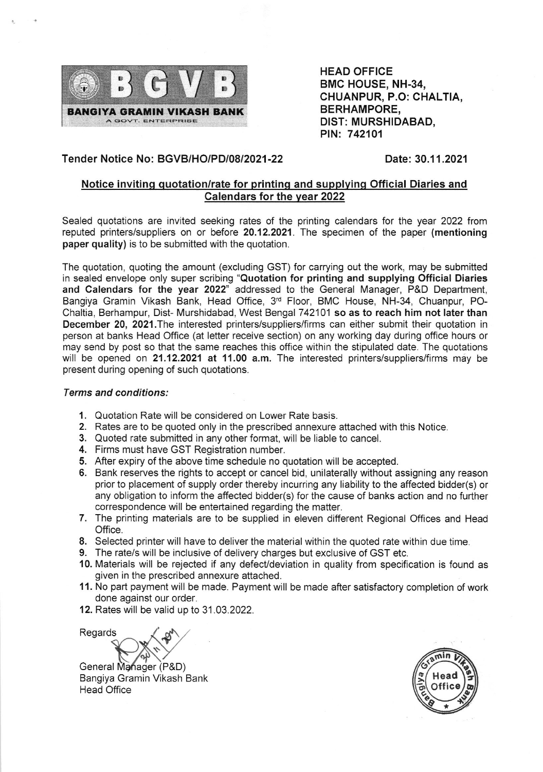

HEAD OFFICE BMC HOUSE, NH-34, CHUANPUR, P.O: CHALTIA, BERHAMPORE, DIST: MURSHIDABAD, PIN: 742101

## Tender Notice No: BGVB/HO/PD/0812021 -22

## Date: 30.11.2021

## Notice invitinq quotation/rate for printinq and supplyinq Official Diaries and Calendars for the year 2022

Sealed quotations are invited seeking rates of the printing calendars for the year 2022 from reputed printers/suppliers on or before 20.12.2021. The specimen of the paper (mentioning paper quality) is to be submitted with the quotation.

The quotation, quoting the amount (excluding GST) for carrying out the work, may be submitted in sealed envelope only super scribing "Quotation for printing and supplying Official Diaries and Calendars for the year 2022" addressed to the General Manager, P&D Department, Bangiya Gramin Vikash Bank, Head Office, 3rd Floor, BMC House, NH-34, Chuanpur, PO-Chaltia, Berhampur, Dist- Murshidabad, West Bengal 742101 so as to reach him not later than December 20, 2021. The interested printers/suppliers/firms can either submit their quotation in person at banks Head Office (at lefter receive section) on any working day during office hours or may send by post so that the same reaches this office within the stipulated date. The quotations will be opened on 21.12.2021 at 11.00 a.m. The interested printers/suppliers/firms may be present during opening of such quotations.

## Terms and conditions:

- 1. Quotation Rate will be considered on Lower Rate basis.
- 2. Rates are to be quoted only in the prescribed annexure attached with this Notice.
- 3. Quoted rate submitted in any other format, will be liable to cancel.
- 4. Firms must have GST Registration number.
- 5. After expiry of the above time schedule no quotation will be accepted.
- 6. Bank reserves the rights to accept or cancel bid, unilaterally without assigning any reason prior to placement of supply order thereby incurring any liability to the affected bidder(s) or any obligation to inform the affected bidder(s) for the cause of banks action and no further correspondence will be entertained regarding the matter.
- 7. The printing materials are to be supplied in eleven different Regional Offices and Head Office.
- 8. Selected printer will have to deliver the material within the quoted rate within due time.
- 9. The rate/s will be inclusive of delivery charges but exclusive of GST etc.
- 10. Materials will be rejected if any defect/deviation in quality from specification is found as given in the prescribed annexure attached.
- 11. No part payment will be made. Payment will be made after satisfactory completion of work done against our order.
- 12. Rates will be valid up to 31.03.2022.

 $\mathbf{v}$ General Manager (P&D) Regards

Bangiya Gramin Vikash Bank Head Office